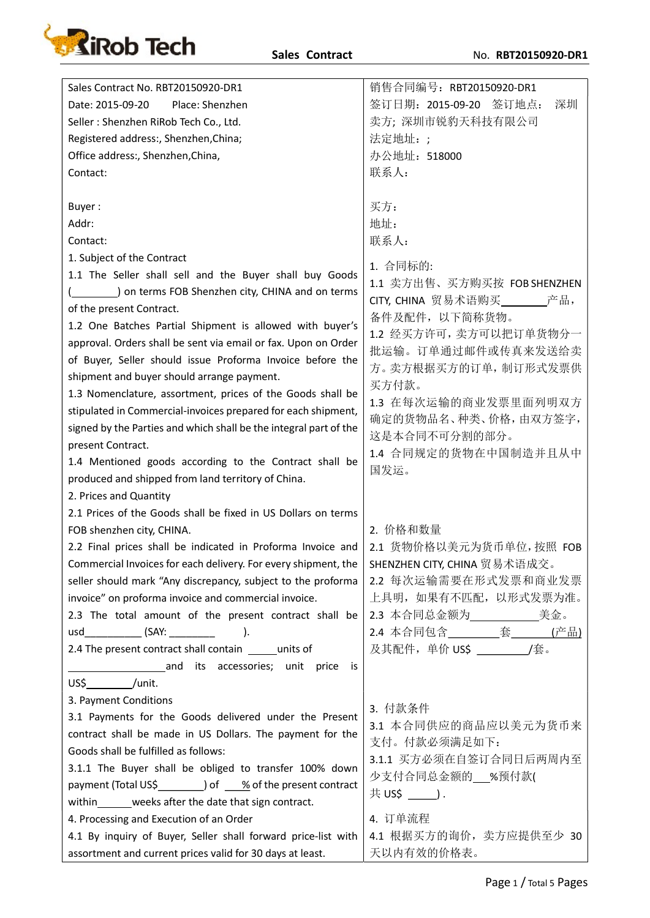

| Sales Contract No. RBT20150920-DR1                                                                                        | 销售合同编号: RBT20150920-DR1      |
|---------------------------------------------------------------------------------------------------------------------------|------------------------------|
| Place: Shenzhen<br>Date: 2015-09-20                                                                                       | 签订日期: 2015-09-20 签订地点:<br>深圳 |
| Seller: Shenzhen RiRob Tech Co., Ltd.                                                                                     | 卖方; 深圳市锐豹天科技有限公司             |
| Registered address:, Shenzhen, China;                                                                                     | 法定地址:;                       |
| Office address:, Shenzhen, China,                                                                                         | 办公地址: 518000                 |
| Contact:                                                                                                                  | 联系人:                         |
|                                                                                                                           |                              |
| Buyer:                                                                                                                    | 买方:                          |
| Addr:                                                                                                                     | 地址:                          |
| Contact:                                                                                                                  | 联系人:                         |
| 1. Subject of the Contract                                                                                                |                              |
| 1.1 The Seller shall sell and the Buyer shall buy Goods                                                                   | 1. 合同标的:                     |
| _) on terms FOB Shenzhen city, CHINA and on terms                                                                         | 1.1 卖方出售、买方购买按 FOBSHENZHEN   |
| of the present Contract.                                                                                                  | CITY, CHINA 贸易术语购买 产品,       |
| 1.2 One Batches Partial Shipment is allowed with buyer's                                                                  | 备件及配件, 以下简称货物。               |
| approval. Orders shall be sent via email or fax. Upon on Order                                                            | 1.2 经买方许可, 卖方可以把订单货物分一       |
| of Buyer, Seller should issue Proforma Invoice before the                                                                 | 批运输。订单通过邮件或传真来发送给卖           |
| shipment and buyer should arrange payment.                                                                                | 方。卖方根据买方的订单,制订形式发票供          |
| 1.3 Nomenclature, assortment, prices of the Goods shall be                                                                | 买方付款。                        |
| stipulated in Commercial-invoices prepared for each shipment,                                                             | 1.3 在每次运输的商业发票里面列明双方         |
| signed by the Parties and which shall be the integral part of the                                                         | 确定的货物品名、种类、价格,由双方签字,         |
| present Contract.                                                                                                         | 这是本合同不可分割的部分。                |
| 1.4 Mentioned goods according to the Contract shall be                                                                    | 1.4 合同规定的货物在中国制造并且从中         |
| produced and shipped from land territory of China.                                                                        | 国发运。                         |
| 2. Prices and Quantity                                                                                                    |                              |
| 2.1 Prices of the Goods shall be fixed in US Dollars on terms                                                             |                              |
| FOB shenzhen city, CHINA.                                                                                                 | 2. 价格和数量                     |
| 2.2 Final prices shall be indicated in Proforma Invoice and                                                               | 2.1 货物价格以美元为货币单位, 按照 FOB     |
| Commercial Invoices for each delivery. For every shipment, the                                                            | SHENZHEN CITY, CHINA 贸易术语成交。 |
| seller should mark "Any discrepancy, subject to the proforma                                                              | 2.2 每次运输需要在形式发票和商业发票         |
| invoice" on proforma invoice and commercial invoice.                                                                      | 上具明, 如果有不匹配, 以形式发票为准。        |
| 2.3 The total amount of the present contract shall be                                                                     |                              |
|                                                                                                                           |                              |
| 2.4 The present contract shall contain ______ units of                                                                    | 及其配件, 单价 US\$ ___________/套。 |
| and its accessories; unit price is                                                                                        |                              |
| $US\frac{\xi}{\xi}$ /unit.                                                                                                |                              |
| 3. Payment Conditions                                                                                                     |                              |
| 3.1 Payments for the Goods delivered under the Present                                                                    | 3. 付款条件                      |
| contract shall be made in US Dollars. The payment for the                                                                 | 3.1 本合同供应的商品应以美元为货币来         |
| Goods shall be fulfilled as follows:                                                                                      | 支付。付款必须满足如下:                 |
| 3.1.1 The Buyer shall be obliged to transfer 100% down                                                                    | 3.1.1 买方必须在自签订合同日后两周内至       |
|                                                                                                                           | 少支付合同总金额的___%预付款(            |
| payment (Total US\$___________) of ____% of the present contract<br>within_______weeks after the date that sign contract. |                              |
|                                                                                                                           | 4. 订单流程                      |
| 4. Processing and Execution of an Order                                                                                   |                              |
| 4.1 By inquiry of Buyer, Seller shall forward price-list with                                                             | 4.1 根据买方的询价, 卖方应提供至少 30      |
| assortment and current prices valid for 30 days at least.                                                                 | 天以内有效的价格表。                   |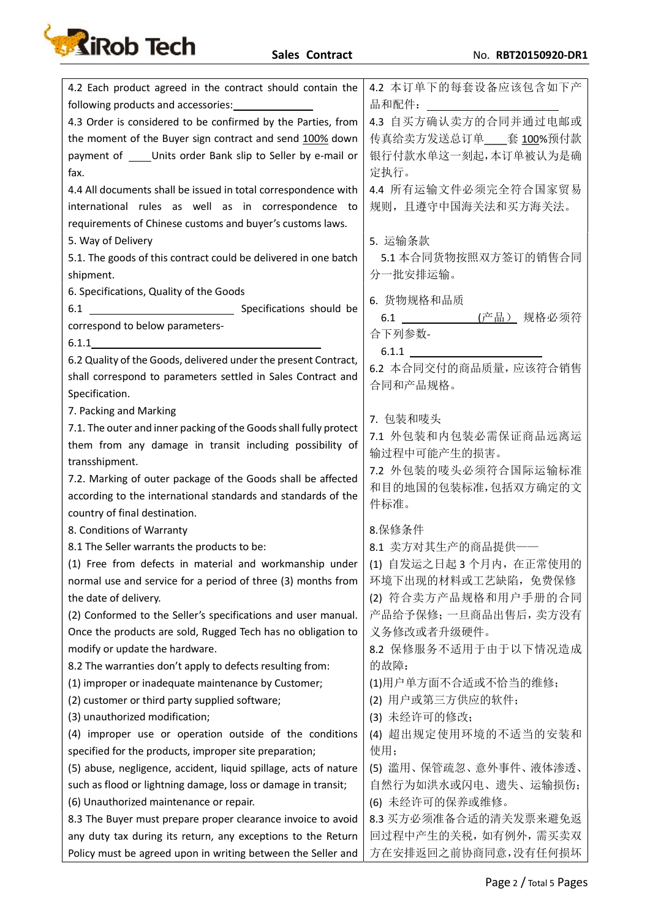

| 4.2 本订单下的每套设备应该包含如下产<br>4.2 Each product agreed in the contract should contain the<br>品和配件:<br>following products and accessories:<br>4.3 自买方确认卖方的合同并通过电邮或<br>4.3 Order is considered to be confirmed by the Parties, from<br>传真给卖方发送总订单___套 100%预付款<br>the moment of the Buyer sign contract and send 100% down<br>payment of _____ Units order Bank slip to Seller by e-mail or<br>银行付款水单这一刻起,本订单被认为是确<br>定执行。<br>fax. |
|--------------------------------------------------------------------------------------------------------------------------------------------------------------------------------------------------------------------------------------------------------------------------------------------------------------------------------------------------------------------------------------------------------------------------|
|                                                                                                                                                                                                                                                                                                                                                                                                                          |
|                                                                                                                                                                                                                                                                                                                                                                                                                          |
|                                                                                                                                                                                                                                                                                                                                                                                                                          |
|                                                                                                                                                                                                                                                                                                                                                                                                                          |
|                                                                                                                                                                                                                                                                                                                                                                                                                          |
| 4.4 所有运输文件必须完全符合国家贸易<br>4.4 All documents shall be issued in total correspondence with                                                                                                                                                                                                                                                                                                                                   |
| 规则,且遵守中国海关法和买方海关法。<br>international rules as well as in correspondence to                                                                                                                                                                                                                                                                                                                                                |
| requirements of Chinese customs and buyer's customs laws.                                                                                                                                                                                                                                                                                                                                                                |
| 5. 运输条款<br>5. Way of Delivery                                                                                                                                                                                                                                                                                                                                                                                            |
| 5.1. The goods of this contract could be delivered in one batch<br>5.1 本合同货物按照双方签订的销售合同                                                                                                                                                                                                                                                                                                                                  |
| 分一批安排运输。<br>shipment.                                                                                                                                                                                                                                                                                                                                                                                                    |
| 6. Specifications, Quality of the Goods                                                                                                                                                                                                                                                                                                                                                                                  |
| 6. 货物规格和品质                                                                                                                                                                                                                                                                                                                                                                                                               |
| 6.1 ____________(产品) 规格必须符<br>correspond to below parameters-                                                                                                                                                                                                                                                                                                                                                            |
| 合下列参数-<br>6.1.1                                                                                                                                                                                                                                                                                                                                                                                                          |
| $6.1.1$ $\qquad \qquad$<br>6.2 Quality of the Goods, delivered under the present Contract,                                                                                                                                                                                                                                                                                                                               |
| 6.2 本合同交付的商品质量,应该符合销售<br>shall correspond to parameters settled in Sales Contract and                                                                                                                                                                                                                                                                                                                                    |
| 合同和产品规格。<br>Specification.                                                                                                                                                                                                                                                                                                                                                                                               |
| 7. Packing and Marking                                                                                                                                                                                                                                                                                                                                                                                                   |
| 7. 包装和唛头<br>7.1. The outer and inner packing of the Goods shall fully protect                                                                                                                                                                                                                                                                                                                                            |
| 7.1 外包装和内包装必需保证商品远离运<br>them from any damage in transit including possibility of                                                                                                                                                                                                                                                                                                                                         |
| 输过程中可能产生的损害。<br>transshipment.                                                                                                                                                                                                                                                                                                                                                                                           |
| 7.2 外包装的唛头必须符合国际运输标准                                                                                                                                                                                                                                                                                                                                                                                                     |
| 7.2. Marking of outer package of the Goods shall be affected<br>和目的地国的包装标准,包括双方确定的文<br>according to the international standards and standards of the                                                                                                                                                                                                                                                                     |
| 件标准。<br>country of final destination.                                                                                                                                                                                                                                                                                                                                                                                    |
| 8.保修条件<br>8. Conditions of Warranty                                                                                                                                                                                                                                                                                                                                                                                      |
| 8.1 卖方对其生产的商品提供——<br>8.1 The Seller warrants the products to be:                                                                                                                                                                                                                                                                                                                                                         |
| (1) Free from defects in material and workmanship under   (1) 自发运之日起 3 个月内,在正常使用的                                                                                                                                                                                                                                                                                                                                        |
| 环境下出现的材料或工艺缺陷, 免费保修<br>normal use and service for a period of three (3) months from                                                                                                                                                                                                                                                                                                                                      |
| (2) 符合卖方产品规格和用户手册的合同<br>the date of delivery.                                                                                                                                                                                                                                                                                                                                                                            |
| 产品给予保修; 一旦商品出售后, 卖方没有<br>(2) Conformed to the Seller's specifications and user manual.                                                                                                                                                                                                                                                                                                                                   |
| Once the products are sold, Rugged Tech has no obligation to<br>义务修改或者升级硬件。                                                                                                                                                                                                                                                                                                                                              |
| modify or update the hardware.<br>8.2 保修服务不适用于由于以下情况造成                                                                                                                                                                                                                                                                                                                                                                   |
| 的故障:<br>8.2 The warranties don't apply to defects resulting from:                                                                                                                                                                                                                                                                                                                                                        |
| (1)用户单方面不合适或不恰当的维修;<br>(1) improper or inadequate maintenance by Customer;                                                                                                                                                                                                                                                                                                                                               |
| (2) 用户或第三方供应的软件;<br>(2) customer or third party supplied software;                                                                                                                                                                                                                                                                                                                                                       |
| (3) 未经许可的修改;<br>(3) unauthorized modification;                                                                                                                                                                                                                                                                                                                                                                           |
| (4) improper use or operation outside of the conditions<br>(4) 超出规定使用环境的不适当的安装和                                                                                                                                                                                                                                                                                                                                          |
| 使用;<br>specified for the products, improper site preparation;                                                                                                                                                                                                                                                                                                                                                            |
| (5) abuse, negligence, accident, liquid spillage, acts of nature<br>(5) 滥用、保管疏忽、意外事件、液体渗透、                                                                                                                                                                                                                                                                                                                               |
| 自然行为如洪水或闪电、遗失、运输损伤;<br>such as flood or lightning damage, loss or damage in transit;                                                                                                                                                                                                                                                                                                                                     |
| (6) 未经许可的保养或维修。<br>(6) Unauthorized maintenance or repair.                                                                                                                                                                                                                                                                                                                                                               |
| 8.3 买方必须准备合适的清关发票来避免返<br>8.3 The Buyer must prepare proper clearance invoice to avoid                                                                                                                                                                                                                                                                                                                                    |
| 回过程中产生的关税,如有例外,需买卖双<br>any duty tax during its return, any exceptions to the Return                                                                                                                                                                                                                                                                                                                                      |
| 方在安排返回之前协商同意,没有任何损坏<br>Policy must be agreed upon in writing between the Seller and                                                                                                                                                                                                                                                                                                                                      |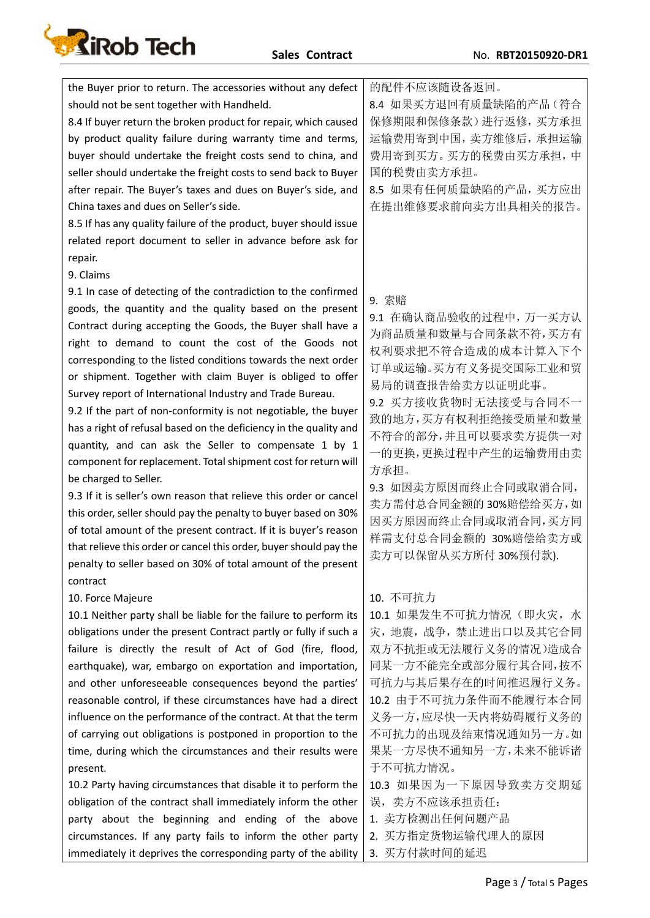

the Buyer prior to return. The accessories without any defect should not be sent together with Handheld. 8.4 If buyer return the broken product for repair, which caused by product quality failure during warranty time and terms, buyer should undertake the freight costs send to china, and seller should undertake the freight costs to send back to Buyer after repair. The Buyer's taxes and dues on Buyer's side, and China taxes and dues on Seller's side. 8.5 If has any quality failure of the product, buyer should issue related report document to seller in advance before ask for repair. 的配件不应该随设备返回。 8.4 如果买方退回有质量缺陷的产品(符合 保修期限和保修条款)进行返修,买方承担 运输费用寄到中国,卖方维修后,承担运输 费用寄到买方。买方的税费由买方承担,中 国的税费由卖方承担。 8.5 如果有任何质量缺陷的产品,买方应出 在提出维修要求前向卖方出具相关的报告。 9. Claims 9.1 In case of detecting of the contradiction to the confirmed goods, the quantity and the quality based on the present Contract during accepting the Goods, the Buyer shall have a right to demand to count the cost of the Goods not corresponding to the listed conditions towards the next order or shipment. Together with claim Buyer is obliged to offer Survey report of International Industry and Trade Bureau. 9.2 If the part of non-conformity is not negotiable, the buyer has a right of refusal based on the deficiency in the quality and quantity, and can ask the Seller to compensate 1 by 1 component for replacement. Total shipment cost for return will be charged to Seller. 9.3 If it is seller's own reason that relieve this order or cancel this order, seller should pay the penalty to buyer based on 30% of total amount of the present contract. If it is buyer's reason that relieve this order or cancel this order, buyer should pay the penalty to seller based on 30% of total amount of the present contract 9. 索赔 9.1 在确认商品验收的过程中,万一买方认 为商品质量和数量与合同条款不符,买方有 权利要求把不符合造成的成本计算入下个 订单或运输。买方有义务提交国际工业和贸 易局的调查报告给卖方以证明此事。 9.2 买方接收货物时无法接受与合同不一 致的地方,买方有权利拒绝接受质量和数量 不符合的部分,并且可以要求卖方提供一对 一的更换,更换过程中产生的运输费用由卖 方承担。 9.3 如因卖方原因而终止合同或取消合同, 卖方需付总合同金额的 30%赔偿给买方,如 因买方原因而终止合同或取消合同,买方同 样需支付总合同金额的 30%赔偿给卖方或 卖方可以保留从买方所付 30%预付款). 10. Force Majeure 10.1 Neither party shall be liable for the failure to perform its obligations under the present Contract partly or fully if such a failure is directly the result of Act of God (fire, flood, earthquake), war, embargo on exportation and importation, and other unforeseeable consequences beyond the parties' reasonable control, if these circumstances have had a direct influence on the performance of the contract. At that the term of carrying out obligations is postponed in proportion to the time, during which the circumstances and their results were present. 10.2 Party having circumstances that disable it to perform the obligation of the contract shall immediately inform the other party about the beginning and ending of the above circumstances. If any party fails to inform the other party immediately it deprives the corresponding party of the ability 10. 不可抗力 10.1 如果发生不可抗力情况(即火灾,水 灾,地震,战争,禁止进出口以及其它合同 双方不抗拒或无法履行义务的情况)造成合 同某一方不能完全或部分履行其合同,按不 可抗力与其后果存在的时间推迟履行义务。 10.2 由于不可抗力条件而不能履行本合同 义务一方,应尽快一天内将妨碍履行义务的 不可抗力的出现及结束情况通知另一方。如 果某一方尽快不通知另一方,未来不能诉诸 于不可抗力情况。 10.3 如果因为一下原因导致卖方交期延 误,卖方不应该承担责任: 1. 卖方检测出任何问题产品 2. 买方指定货物运输代理人的原因 3. 买方付款时间的延迟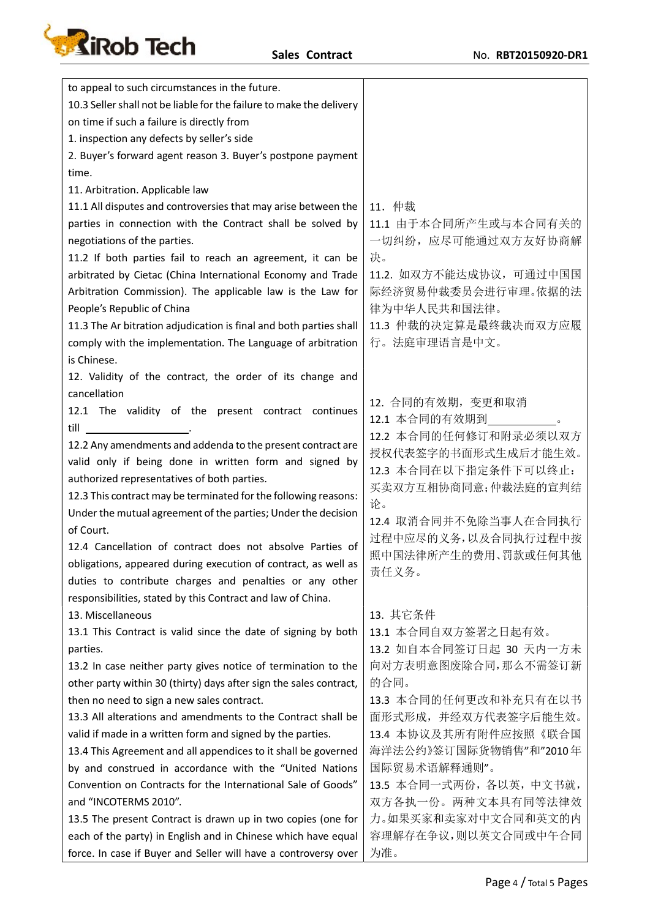

| to appeal to such circumstances in the future.                       |                          |
|----------------------------------------------------------------------|--------------------------|
| 10.3 Seller shall not be liable for the failure to make the delivery |                          |
| on time if such a failure is directly from                           |                          |
| 1. inspection any defects by seller's side                           |                          |
| 2. Buyer's forward agent reason 3. Buyer's postpone payment          |                          |
| time.                                                                |                          |
| 11. Arbitration. Applicable law                                      |                          |
| 11.1 All disputes and controversies that may arise between the       | 11. 仲裁                   |
| parties in connection with the Contract shall be solved by           | 11.1 由于本合同所产生或与本合同有关的    |
| negotiations of the parties.                                         | 一切纠纷, 应尽可能通过双方友好协商解      |
| 11.2 If both parties fail to reach an agreement, it can be           | 决。                       |
| arbitrated by Cietac (China International Economy and Trade          | 11.2. 如双方不能达成协议, 可通过中国国  |
| Arbitration Commission). The applicable law is the Law for           | 际经济贸易仲裁委员会进行审理。依据的法      |
| People's Republic of China                                           | 律为中华人民共和国法律。             |
| 11.3 The Ar bitration adjudication is final and both parties shall   | 11.3 仲裁的决定算是最终裁决而双方应履    |
| comply with the implementation. The Language of arbitration          | 行。法庭审理语言是中文。             |
| is Chinese.                                                          |                          |
| 12. Validity of the contract, the order of its change and            |                          |
| cancellation                                                         |                          |
| 12.1 The validity of the present contract continues                  | 12. 合同的有效期, 变更和取消        |
| till                                                                 | 12.1 本合同的有效期到            |
| 12.2 Any amendments and addenda to the present contract are          | 12.2 本合同的任何修订和附录必须以双方    |
| valid only if being done in written form and signed by               | 授权代表签字的书面形式生成后才能生效。      |
| authorized representatives of both parties.                          | 12.3 本合同在以下指定条件下可以终止:    |
| 12.3 This contract may be terminated for the following reasons:      | 买卖双方互相协商同意;仲裁法庭的宣判结      |
| Under the mutual agreement of the parties; Under the decision        | 论。                       |
| of Court.                                                            | 12.4 取消合同并不免除当事人在合同执行    |
| 12.4 Cancellation of contract does not absolve Parties of            | 过程中应尽的义务,以及合同执行过程中按      |
| obligations, appeared during execution of contract, as well as       | 照中国法律所产生的费用、罚款或任何其他      |
| duties to contribute charges and penalties or any other              | 责任义务。                    |
| responsibilities, stated by this Contract and law of China.          |                          |
| 13. Miscellaneous                                                    | 13. 其它条件                 |
| 13.1 This Contract is valid since the date of signing by both        | 13.1 本合同自双方签署之日起有效。      |
| parties.                                                             | 13.2 如自本合同签订日起 30 天内一方未  |
| 13.2 In case neither party gives notice of termination to the        | 向对方表明意图废除合同,那么不需签订新      |
| other party within 30 (thirty) days after sign the sales contract,   | 的合同。                     |
| then no need to sign a new sales contract.                           | 13.3 本合同的任何更改和补充只有在以书    |
| 13.3 All alterations and amendments to the Contract shall be         | 面形式形成, 并经双方代表签字后能生效。     |
| valid if made in a written form and signed by the parties.           | 13.4 本协议及其所有附件应按照《联合国    |
| 13.4 This Agreement and all appendices to it shall be governed       | 海洋法公约》签订国际货物销售"和"2010年   |
| by and construed in accordance with the "United Nations              | 国际贸易术语解释通则"。             |
| Convention on Contracts for the International Sale of Goods"         | 13.5 本合同一式两份, 各以英, 中文书就, |
| and "INCOTERMS 2010".                                                | 双方各执一份。两种文本具有同等法律效       |
| 13.5 The present Contract is drawn up in two copies (one for         | 力。如果买家和卖家对中文合同和英文的内      |
| each of the party) in English and in Chinese which have equal        | 容理解存在争议,则以英文合同或中午合同      |
| force. In case if Buyer and Seller will have a controversy over      | 为准。                      |
|                                                                      |                          |